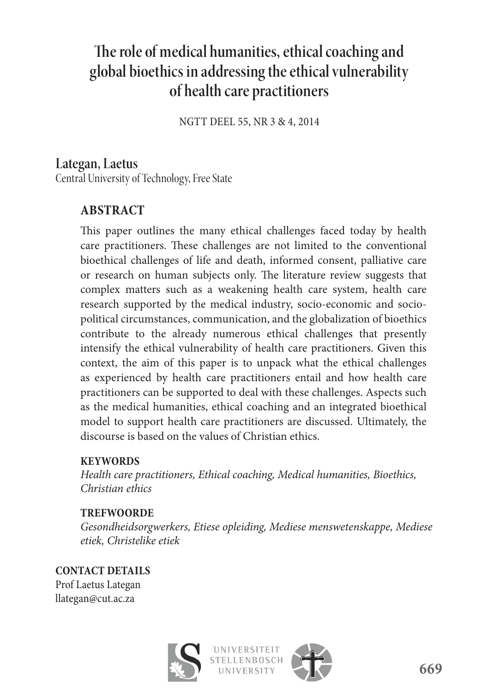# The role of medical humanities, ethical coaching and **global bioethics in addressing the ethical vulnerability of health care practitioners**

NGTT DEEL 55, NR 3 & 4, 2014

**Lategan, Laetus**  Central University of Technology, Free State

### **ABSTRACT**

This paper outlines the many ethical challenges faced today by health care practitioners. These challenges are not limited to the conventional bioethical challenges of life and death, informed consent, palliative care or research on human subjects only. The literature review suggests that complex matters such as a weakening health care system, health care research supported by the medical industry, socio-economic and sociopolitical circumstances, communication, and the globalization of bioethics contribute to the already numerous ethical challenges that presently intensify the ethical vulnerability of health care practitioners. Given this context, the aim of this paper is to unpack what the ethical challenges as experienced by health care practitioners entail and how health care practitioners can be supported to deal with these challenges. Aspects such as the medical humanities, ethical coaching and an integrated bioethical model to support health care practitioners are discussed. Ultimately, the discourse is based on the values of Christian ethics.

#### **KEYWORDS**

*Health care practitioners, Ethical coaching, Medical humanities, Bioethics, Christian ethics*

#### **TREFWOORDE**

*Gesondheidsorgwerkers, Etiese opleiding, Mediese menswetenskappe, Mediese etiek, Christelike etiek*

**CONTACT DETAILS** Prof Laetus Lategan llategan@cut.ac.za



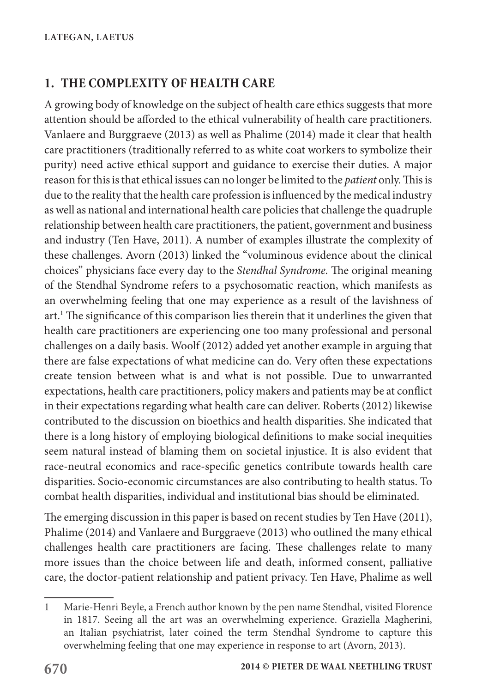# **1. THE COMPLEXITY OF HEALTH CARE**

A growing body of knowledge on the subject of health care ethics suggests that more attention should be afforded to the ethical vulnerability of health care practitioners. Vanlaere and Burggraeve (2013) as well as Phalime (2014) made it clear that health care practitioners (traditionally referred to as white coat workers to symbolize their purity) need active ethical support and guidance to exercise their duties. A major reason for this is that ethical issues can no longer be limited to the *patient* only. This is due to the reality that the health care profession is influenced by the medical industry as well as national and international health care policies that challenge the quadruple relationship between health care practitioners, the patient, government and business and industry (Ten Have, 2011). A number of examples illustrate the complexity of these challenges. Avorn (2013) linked the "voluminous evidence about the clinical choices" physicians face every day to the *Stendhal Syndrome.* The original meaning of the Stendhal Syndrome refers to a psychosomatic reaction, which manifests as an overwhelming feeling that one may experience as a result of the lavishness of art.<sup>1</sup> The significance of this comparison lies therein that it underlines the given that health care practitioners are experiencing one too many professional and personal challenges on a daily basis. Woolf (2012) added yet another example in arguing that there are false expectations of what medicine can do. Very often these expectations create tension between what is and what is not possible. Due to unwarranted expectations, health care practitioners, policy makers and patients may be at conflict in their expectations regarding what health care can deliver. Roberts (2012) likewise contributed to the discussion on bioethics and health disparities. She indicated that there is a long history of employing biological definitions to make social inequities seem natural instead of blaming them on societal injustice. It is also evident that race-neutral economics and race-specific genetics contribute towards health care disparities. Socio-economic circumstances are also contributing to health status. To combat health disparities, individual and institutional bias should be eliminated.

The emerging discussion in this paper is based on recent studies by Ten Have (2011), Phalime (2014) and Vanlaere and Burggraeve (2013) who outlined the many ethical challenges health care practitioners are facing. These challenges relate to many more issues than the choice between life and death, informed consent, palliative care, the doctor-patient relationship and patient privacy. Ten Have, Phalime as well

<sup>1</sup> Marie-Henri Beyle, a French author known by the pen name Stendhal, visited Florence in 1817. Seeing all the art was an overwhelming experience. Graziella Magherini, an Italian psychiatrist, later coined the term Stendhal Syndrome to capture this overwhelming feeling that one may experience in response to art (Avorn, 2013).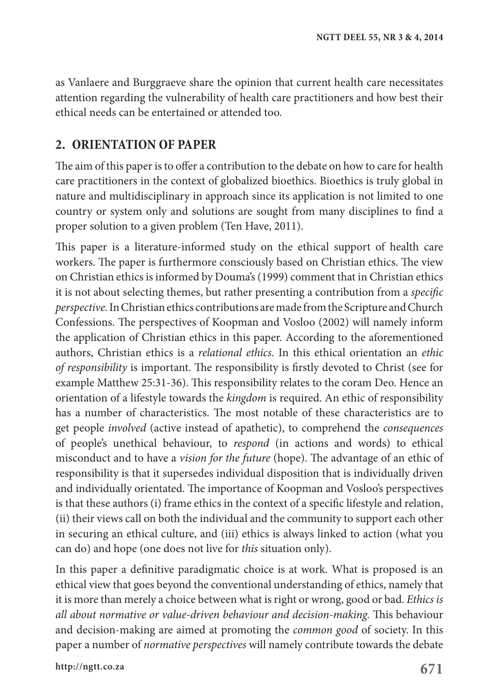as Vanlaere and Burggraeve share the opinion that current health care necessitates attention regarding the vulnerability of health care practitioners and how best their ethical needs can be entertained or attended too.

### **2. ORIENTATION OF PAPER**

The aim of this paper is to offer a contribution to the debate on how to care for health care practitioners in the context of globalized bioethics. Bioethics is truly global in nature and multidisciplinary in approach since its application is not limited to one country or system only and solutions are sought from many disciplines to find a proper solution to a given problem (Ten Have, 2011).

This paper is a literature-informed study on the ethical support of health care workers. The paper is furthermore consciously based on Christian ethics. The view on Christian ethics is informed by Douma's (1999) comment that in Christian ethics it is not about selecting themes, but rather presenting a contribution from a *specific perspective.* In Christian ethics contributions are made from the Scripture and Church Confessions. The perspectives of Koopman and Vosloo (2002) will namely inform the application of Christian ethics in this paper. According to the aforementioned authors, Christian ethics is a *relational ethics*. In this ethical orientation an *ethic of responsibility* is important. The responsibility is firstly devoted to Christ (see for example Matthew 25:31-36). This responsibility relates to the coram Deo. Hence an orientation of a lifestyle towards the *kingdom* is required. An ethic of responsibility has a number of characteristics. The most notable of these characteristics are to get people *involved* (active instead of apathetic), to comprehend the *consequences* of people's unethical behaviour, to *respond* (in actions and words) to ethical misconduct and to have a *vision for the future* (hope). The advantage of an ethic of responsibility is that it supersedes individual disposition that is individually driven and individually orientated. The importance of Koopman and Vosloo's perspectives is that these authors (i) frame ethics in the context of a specific lifestyle and relation, (ii) their views call on both the individual and the community to support each other in securing an ethical culture, and (iii) ethics is always linked to action (what you can do) and hope (one does not live for *this* situation only).

In this paper a definitive paradigmatic choice is at work. What is proposed is an ethical view that goes beyond the conventional understanding of ethics, namely that it is more than merely a choice between what is right or wrong, good or bad. *Ethics is all about normative or value-driven behaviour and decision-making.* This behaviour and decision-making are aimed at promoting the *common good* of society. In this paper a number of *normative perspectives* will namely contribute towards the debate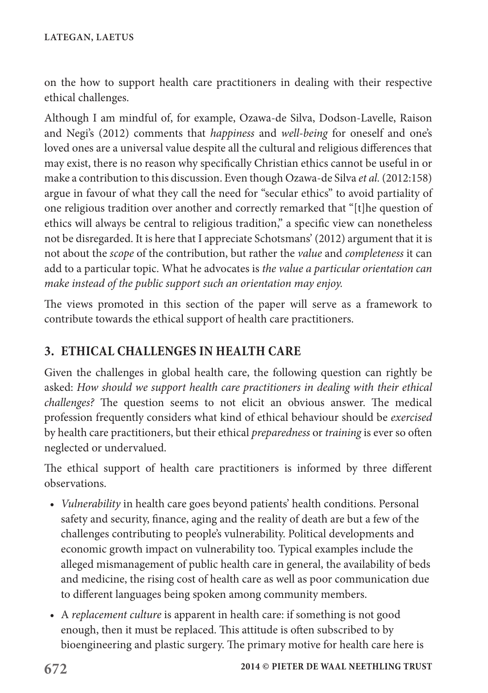on the how to support health care practitioners in dealing with their respective ethical challenges.

Although I am mindful of, for example, Ozawa-de Silva, Dodson-Lavelle, Raison and Negi's (2012) comments that *happiness* and *well-being* for oneself and one's loved ones are a universal value despite all the cultural and religious differences that may exist, there is no reason why specifically Christian ethics cannot be useful in or make a contribution to this discussion. Even though Ozawa-de Silva *et al.* (2012:158) argue in favour of what they call the need for "secular ethics" to avoid partiality of one religious tradition over another and correctly remarked that "[t]he question of ethics will always be central to religious tradition," a specific view can nonetheless not be disregarded. It is here that I appreciate Schotsmans' (2012) argument that it is not about the *scope* of the contribution, but rather the *value* and *completeness* it can add to a particular topic. What he advocates is *the value a particular orientation can make instead of the public support such an orientation may enjoy.*

The views promoted in this section of the paper will serve as a framework to contribute towards the ethical support of health care practitioners.

# **3. ETHICAL CHALLENGES IN HEALTH CARE**

Given the challenges in global health care, the following question can rightly be asked: *How should we support health care practitioners in dealing with their ethical challenges?* The question seems to not elicit an obvious answer. The medical profession frequently considers what kind of ethical behaviour should be *exercised* by health care practitioners, but their ethical *preparedness* or *training* is ever so often neglected or undervalued.

The ethical support of health care practitioners is informed by three different observations.

- *Vulnerability* in health care goes beyond patients' health conditions. Personal safety and security, finance, aging and the reality of death are but a few of the challenges contributing to people's vulnerability. Political developments and economic growth impact on vulnerability too. Typical examples include the alleged mismanagement of public health care in general, the availability of beds and medicine, the rising cost of health care as well as poor communication due to different languages being spoken among community members.
- A *replacement culture* is apparent in health care: if something is not good enough, then it must be replaced. This attitude is often subscribed to by bioengineering and plastic surgery. The primary motive for health care here is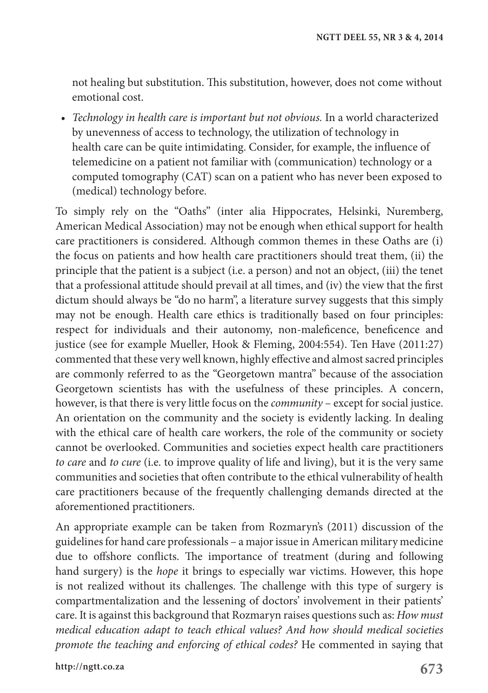not healing but substitution. This substitution, however, does not come without emotional cost.

• *Technology in health care is important but not obvious.* In a world characterized by unevenness of access to technology, the utilization of technology in health care can be quite intimidating. Consider, for example, the influence of telemedicine on a patient not familiar with (communication) technology or a computed tomography (CAT) scan on a patient who has never been exposed to (medical) technology before.

To simply rely on the "Oaths" (inter alia Hippocrates, Helsinki, Nuremberg, American Medical Association) may not be enough when ethical support for health care practitioners is considered. Although common themes in these Oaths are (i) the focus on patients and how health care practitioners should treat them, (ii) the principle that the patient is a subject (i.e. a person) and not an object, (iii) the tenet that a professional attitude should prevail at all times, and (iv) the view that the first dictum should always be "do no harm", a literature survey suggests that this simply may not be enough. Health care ethics is traditionally based on four principles: respect for individuals and their autonomy, non-maleficence, beneficence and justice (see for example Mueller, Hook & Fleming, 2004:554). Ten Have (2011:27) commented that these very well known, highly effective and almost sacred principles are commonly referred to as the "Georgetown mantra" because of the association Georgetown scientists has with the usefulness of these principles. A concern, however, is that there is very little focus on the *community* – except for social justice. An orientation on the community and the society is evidently lacking. In dealing with the ethical care of health care workers, the role of the community or society cannot be overlooked. Communities and societies expect health care practitioners *to care* and *to cure* (i.e. to improve quality of life and living), but it is the very same communities and societies that often contribute to the ethical vulnerability of health care practitioners because of the frequently challenging demands directed at the aforementioned practitioners.

An appropriate example can be taken from Rozmaryn's (2011) discussion of the guidelines for hand care professionals – a major issue in American military medicine due to offshore conflicts. The importance of treatment (during and following hand surgery) is the *hope* it brings to especially war victims. However, this hope is not realized without its challenges. The challenge with this type of surgery is compartmentalization and the lessening of doctors' involvement in their patients' care. It is against this background that Rozmaryn raises questions such as: *How must medical education adapt to teach ethical values? And how should medical societies promote the teaching and enforcing of ethical codes?* He commented in saying that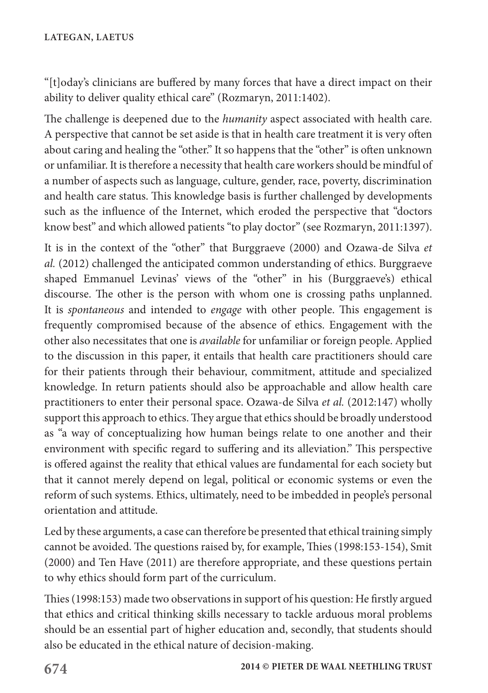"[t]oday's clinicians are buffered by many forces that have a direct impact on their ability to deliver quality ethical care" (Rozmaryn, 2011:1402).

The challenge is deepened due to the *humanity* aspect associated with health care. A perspective that cannot be set aside is that in health care treatment it is very often about caring and healing the "other." It so happens that the "other" is often unknown or unfamiliar. It is therefore a necessity that health care workers should be mindful of a number of aspects such as language, culture, gender, race, poverty, discrimination and health care status. This knowledge basis is further challenged by developments such as the influence of the Internet, which eroded the perspective that "doctors know best" and which allowed patients "to play doctor" (see Rozmaryn, 2011:1397).

It is in the context of the "other" that Burggraeve (2000) and Ozawa-de Silva *et al.* (2012) challenged the anticipated common understanding of ethics. Burggraeve shaped Emmanuel Levinas' views of the "other" in his (Burggraeve's) ethical discourse. The other is the person with whom one is crossing paths unplanned. It is *spontaneous* and intended to *engage* with other people. This engagement is frequently compromised because of the absence of ethics. Engagement with the other also necessitates that one is *available* for unfamiliar or foreign people. Applied to the discussion in this paper, it entails that health care practitioners should care for their patients through their behaviour, commitment, attitude and specialized knowledge. In return patients should also be approachable and allow health care practitioners to enter their personal space. Ozawa-de Silva *et al.* (2012:147) wholly support this approach to ethics. They argue that ethics should be broadly understood as "a way of conceptualizing how human beings relate to one another and their environment with specific regard to suffering and its alleviation." This perspective is offered against the reality that ethical values are fundamental for each society but that it cannot merely depend on legal, political or economic systems or even the reform of such systems. Ethics, ultimately, need to be imbedded in people's personal orientation and attitude.

Led by these arguments, a case can therefore be presented that ethical training simply cannot be avoided. The questions raised by, for example, Thies (1998:153-154), Smit (2000) and Ten Have (2011) are therefore appropriate, and these questions pertain to why ethics should form part of the curriculum.

Thies (1998:153) made two observations in support of his question: He firstly argued that ethics and critical thinking skills necessary to tackle arduous moral problems should be an essential part of higher education and, secondly, that students should also be educated in the ethical nature of decision-making.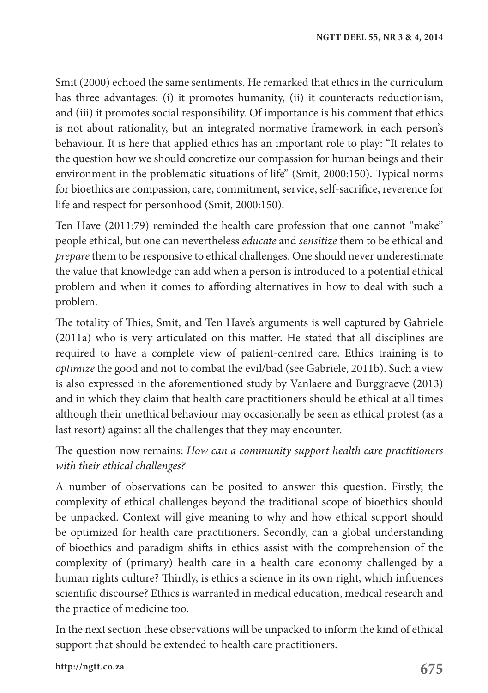Smit (2000) echoed the same sentiments. He remarked that ethics in the curriculum has three advantages: (i) it promotes humanity, (ii) it counteracts reductionism, and (iii) it promotes social responsibility. Of importance is his comment that ethics is not about rationality, but an integrated normative framework in each person's behaviour. It is here that applied ethics has an important role to play: "It relates to the question how we should concretize our compassion for human beings and their environment in the problematic situations of life" (Smit, 2000:150). Typical norms for bioethics are compassion, care, commitment, service, self-sacrifice, reverence for life and respect for personhood (Smit, 2000:150).

Ten Have (2011:79) reminded the health care profession that one cannot "make" people ethical, but one can nevertheless *educate* and *sensitize* them to be ethical and *prepare* them to be responsive to ethical challenges. One should never underestimate the value that knowledge can add when a person is introduced to a potential ethical problem and when it comes to affording alternatives in how to deal with such a problem.

The totality of Thies, Smit, and Ten Have's arguments is well captured by Gabriele (2011a) who is very articulated on this matter. He stated that all disciplines are required to have a complete view of patient-centred care. Ethics training is to *optimize* the good and not to combat the evil/bad (see Gabriele, 2011b). Such a view is also expressed in the aforementioned study by Vanlaere and Burggraeve (2013) and in which they claim that health care practitioners should be ethical at all times although their unethical behaviour may occasionally be seen as ethical protest (as a last resort) against all the challenges that they may encounter.

The question now remains: *How can a community support health care practitioners with their ethical challenges?*

A number of observations can be posited to answer this question. Firstly, the complexity of ethical challenges beyond the traditional scope of bioethics should be unpacked. Context will give meaning to why and how ethical support should be optimized for health care practitioners. Secondly, can a global understanding of bioethics and paradigm shifts in ethics assist with the comprehension of the complexity of (primary) health care in a health care economy challenged by a human rights culture? Thirdly, is ethics a science in its own right, which influences scientific discourse? Ethics is warranted in medical education, medical research and the practice of medicine too.

In the next section these observations will be unpacked to inform the kind of ethical support that should be extended to health care practitioners.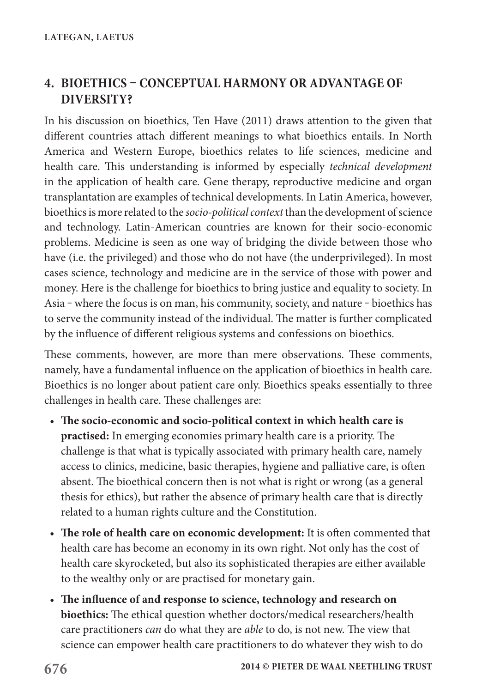# **4. BIOETHICS – CONCEPTUAL HARMONY OR ADVANTAGE OF DIVERSITY?**

In his discussion on bioethics, Ten Have (2011) draws attention to the given that different countries attach different meanings to what bioethics entails. In North America and Western Europe, bioethics relates to life sciences, medicine and health care. This understanding is informed by especially *technical development* in the application of health care. Gene therapy, reproductive medicine and organ transplantation are examples of technical developments. In Latin America, however, bioethics is more related to the *socio-political context* than the development of science and technology. Latin-American countries are known for their socio-economic problems. Medicine is seen as one way of bridging the divide between those who have (i.e. the privileged) and those who do not have (the underprivileged). In most cases science, technology and medicine are in the service of those with power and money. Here is the challenge for bioethics to bring justice and equality to society. In Asia - where the focus is on man, his community, society, and nature - bioethics has to serve the community instead of the individual. The matter is further complicated by the influence of different religious systems and confessions on bioethics.

These comments, however, are more than mere observations. These comments, namely, have a fundamental influence on the application of bioethics in health care. Bioethics is no longer about patient care only. Bioethics speaks essentially to three challenges in health care. These challenges are:

- **The socio-economic and socio-political context in which health care is practised:** In emerging economies primary health care is a priority. The challenge is that what is typically associated with primary health care, namely access to clinics, medicine, basic therapies, hygiene and palliative care, is often absent. The bioethical concern then is not what is right or wrong (as a general thesis for ethics), but rather the absence of primary health care that is directly related to a human rights culture and the Constitution.
- **The role of health care on economic development:** It is often commented that health care has become an economy in its own right. Not only has the cost of health care skyrocketed, but also its sophisticated therapies are either available to the wealthy only or are practised for monetary gain.
- **The influence of and response to science, technology and research on bioethics:** The ethical question whether doctors/medical researchers/health care practitioners *can* do what they are *able* to do, is not new. The view that science can empower health care practitioners to do whatever they wish to do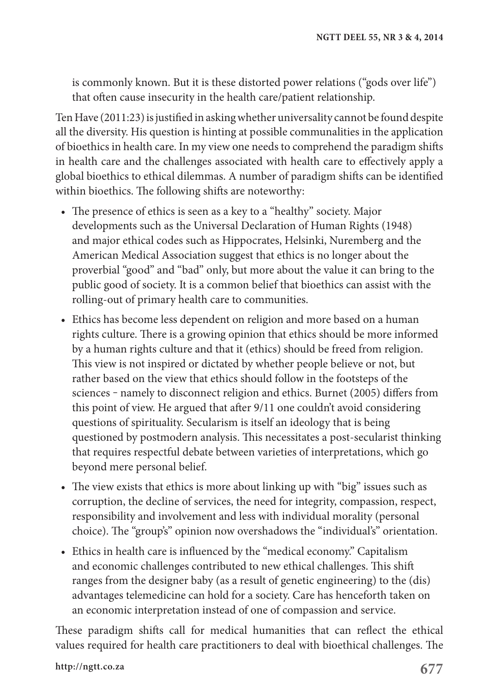is commonly known. But it is these distorted power relations ("gods over life") that often cause insecurity in the health care/patient relationship.

Ten Have (2011:23) is justified in asking whether universality cannot be found despite all the diversity. His question is hinting at possible communalities in the application of bioethics in health care. In my view one needs to comprehend the paradigm shifts in health care and the challenges associated with health care to effectively apply a global bioethics to ethical dilemmas. A number of paradigm shifts can be identified within bioethics. The following shifts are noteworthy:

- The presence of ethics is seen as a key to a "healthy" society. Major developments such as the Universal Declaration of Human Rights (1948) and major ethical codes such as Hippocrates, Helsinki, Nuremberg and the American Medical Association suggest that ethics is no longer about the proverbial "good" and "bad" only, but more about the value it can bring to the public good of society. It is a common belief that bioethics can assist with the rolling-out of primary health care to communities.
- Ethics has become less dependent on religion and more based on a human rights culture. There is a growing opinion that ethics should be more informed by a human rights culture and that it (ethics) should be freed from religion. This view is not inspired or dictated by whether people believe or not, but rather based on the view that ethics should follow in the footsteps of the sciences - namely to disconnect religion and ethics. Burnet (2005) differs from this point of view. He argued that after 9/11 one couldn't avoid considering questions of spirituality. Secularism is itself an ideology that is being questioned by postmodern analysis. This necessitates a post-secularist thinking that requires respectful debate between varieties of interpretations, which go beyond mere personal belief.
- The view exists that ethics is more about linking up with "big" issues such as corruption, the decline of services, the need for integrity, compassion, respect, responsibility and involvement and less with individual morality (personal choice). The "group's" opinion now overshadows the "individual's" orientation.
- Ethics in health care is influenced by the "medical economy." Capitalism and economic challenges contributed to new ethical challenges. This shift ranges from the designer baby (as a result of genetic engineering) to the (dis) advantages telemedicine can hold for a society. Care has henceforth taken on an economic interpretation instead of one of compassion and service.

These paradigm shifts call for medical humanities that can reflect the ethical values required for health care practitioners to deal with bioethical challenges. The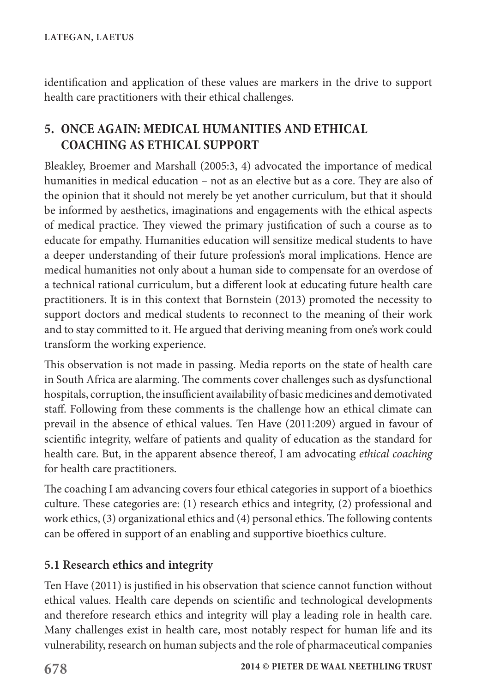identification and application of these values are markers in the drive to support health care practitioners with their ethical challenges.

# **5. ONCE AGAIN: MEDICAL HUMANITIES AND ETHICAL COACHING AS ETHICAL SUPPORT**

Bleakley, Broemer and Marshall (2005:3, 4) advocated the importance of medical humanities in medical education – not as an elective but as a core. They are also of the opinion that it should not merely be yet another curriculum, but that it should be informed by aesthetics, imaginations and engagements with the ethical aspects of medical practice. They viewed the primary justification of such a course as to educate for empathy. Humanities education will sensitize medical students to have a deeper understanding of their future profession's moral implications. Hence are medical humanities not only about a human side to compensate for an overdose of a technical rational curriculum, but a different look at educating future health care practitioners. It is in this context that Bornstein (2013) promoted the necessity to support doctors and medical students to reconnect to the meaning of their work and to stay committed to it. He argued that deriving meaning from one's work could transform the working experience.

This observation is not made in passing. Media reports on the state of health care in South Africa are alarming. The comments cover challenges such as dysfunctional hospitals, corruption, the insufficient availability of basic medicines and demotivated staff. Following from these comments is the challenge how an ethical climate can prevail in the absence of ethical values. Ten Have (2011:209) argued in favour of scientific integrity, welfare of patients and quality of education as the standard for health care. But, in the apparent absence thereof, I am advocating *ethical coaching* for health care practitioners.

The coaching I am advancing covers four ethical categories in support of a bioethics culture. These categories are: (1) research ethics and integrity, (2) professional and work ethics, (3) organizational ethics and (4) personal ethics. The following contents can be offered in support of an enabling and supportive bioethics culture.

### **5.1 Research ethics and integrity**

Ten Have (2011) is justified in his observation that science cannot function without ethical values. Health care depends on scientific and technological developments and therefore research ethics and integrity will play a leading role in health care. Many challenges exist in health care, most notably respect for human life and its vulnerability, research on human subjects and the role of pharmaceutical companies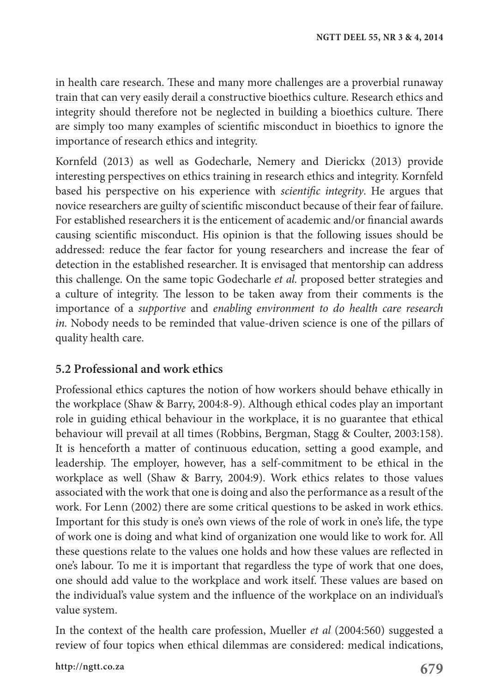in health care research. These and many more challenges are a proverbial runaway train that can very easily derail a constructive bioethics culture. Research ethics and integrity should therefore not be neglected in building a bioethics culture. There are simply too many examples of scientific misconduct in bioethics to ignore the importance of research ethics and integrity.

Kornfeld (2013) as well as Godecharle, Nemery and Dierickx (2013) provide interesting perspectives on ethics training in research ethics and integrity. Kornfeld based his perspective on his experience with *scientific integrity*. He argues that novice researchers are guilty of scientific misconduct because of their fear of failure. For established researchers it is the enticement of academic and/or financial awards causing scientific misconduct. His opinion is that the following issues should be addressed: reduce the fear factor for young researchers and increase the fear of detection in the established researcher. It is envisaged that mentorship can address this challenge. On the same topic Godecharle *et al.* proposed better strategies and a culture of integrity. The lesson to be taken away from their comments is the importance of a *supportive* and *enabling environment to do health care research in.* Nobody needs to be reminded that value-driven science is one of the pillars of quality health care.

#### **5.2 Professional and work ethics**

Professional ethics captures the notion of how workers should behave ethically in the workplace (Shaw & Barry, 2004:8-9). Although ethical codes play an important role in guiding ethical behaviour in the workplace, it is no guarantee that ethical behaviour will prevail at all times (Robbins, Bergman, Stagg & Coulter, 2003:158). It is henceforth a matter of continuous education, setting a good example, and leadership. The employer, however, has a self-commitment to be ethical in the workplace as well (Shaw & Barry, 2004:9). Work ethics relates to those values associated with the work that one is doing and also the performance as a result of the work. For Lenn (2002) there are some critical questions to be asked in work ethics. Important for this study is one's own views of the role of work in one's life, the type of work one is doing and what kind of organization one would like to work for. All these questions relate to the values one holds and how these values are reflected in one's labour. To me it is important that regardless the type of work that one does, one should add value to the workplace and work itself. These values are based on the individual's value system and the influence of the workplace on an individual's value system.

In the context of the health care profession, Mueller *et al* (2004:560) suggested a review of four topics when ethical dilemmas are considered: medical indications,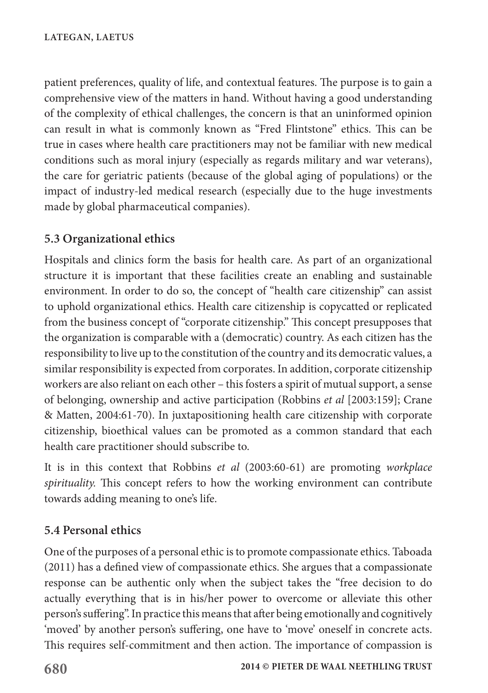patient preferences, quality of life, and contextual features. The purpose is to gain a comprehensive view of the matters in hand. Without having a good understanding of the complexity of ethical challenges, the concern is that an uninformed opinion can result in what is commonly known as "Fred Flintstone" ethics. This can be true in cases where health care practitioners may not be familiar with new medical conditions such as moral injury (especially as regards military and war veterans), the care for geriatric patients (because of the global aging of populations) or the impact of industry-led medical research (especially due to the huge investments made by global pharmaceutical companies).

### **5.3 Organizational ethics**

Hospitals and clinics form the basis for health care. As part of an organizational structure it is important that these facilities create an enabling and sustainable environment. In order to do so, the concept of "health care citizenship" can assist to uphold organizational ethics. Health care citizenship is copycatted or replicated from the business concept of "corporate citizenship." This concept presupposes that the organization is comparable with a (democratic) country. As each citizen has the responsibility to live up to the constitution of the country and its democratic values, a similar responsibility is expected from corporates. In addition, corporate citizenship workers are also reliant on each other – this fosters a spirit of mutual support, a sense of belonging, ownership and active participation (Robbins *et al* [2003:159]; Crane & Matten, 2004:61-70). In juxtapositioning health care citizenship with corporate citizenship, bioethical values can be promoted as a common standard that each health care practitioner should subscribe to.

It is in this context that Robbins *et al* (2003:60-61) are promoting *workplace spirituality.* This concept refers to how the working environment can contribute towards adding meaning to one's life.

### **5.4 Personal ethics**

One of the purposes of a personal ethic is to promote compassionate ethics. Taboada (2011) has a defined view of compassionate ethics. She argues that a compassionate response can be authentic only when the subject takes the "free decision to do actually everything that is in his/her power to overcome or alleviate this other person's suffering". In practice this means that after being emotionally and cognitively 'moved' by another person's suffering, one have to 'move' oneself in concrete acts. This requires self-commitment and then action. The importance of compassion is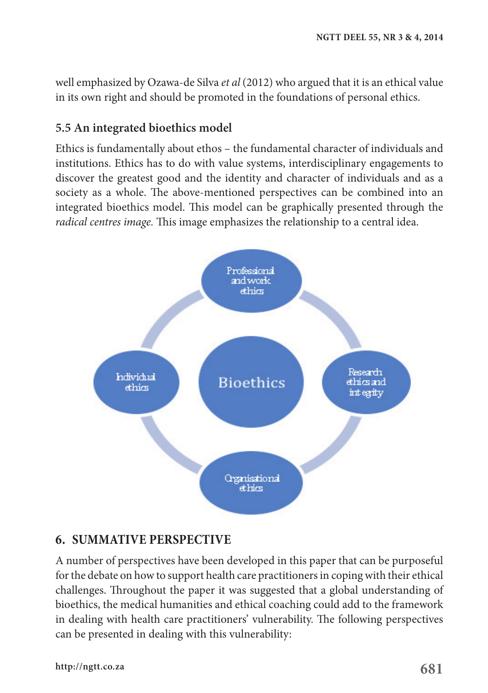well emphasized by Ozawa-de Silva *et al* (2012) who argued that it is an ethical value in its own right and should be promoted in the foundations of personal ethics.

#### **5.5 An integrated bioethics model**

Ethics is fundamentally about ethos – the fundamental character of individuals and institutions. Ethics has to do with value systems, interdisciplinary engagements to discover the greatest good and the identity and character of individuals and as a society as a whole. The above-mentioned perspectives can be combined into an integrated bioethics model. This model can be graphically presented through the *radical centres image*. This image emphasizes the relationship to a central idea.



### **6. SUMMATIVE PERSPECTIVE**

A number of perspectives have been developed in this paper that can be purposeful for the debate on how to support health care practitioners in coping with their ethical challenges. Throughout the paper it was suggested that a global understanding of bioethics, the medical humanities and ethical coaching could add to the framework in dealing with health care practitioners' vulnerability. The following perspectives can be presented in dealing with this vulnerability: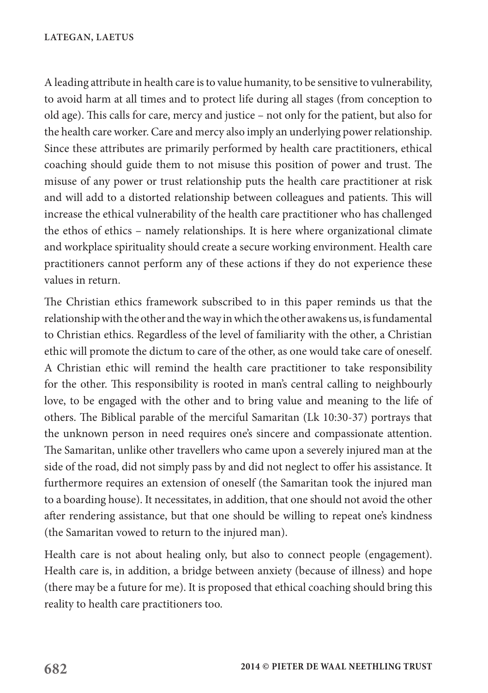A leading attribute in health care is to value humanity, to be sensitive to vulnerability, to avoid harm at all times and to protect life during all stages (from conception to old age). This calls for care, mercy and justice – not only for the patient, but also for the health care worker. Care and mercy also imply an underlying power relationship. Since these attributes are primarily performed by health care practitioners, ethical coaching should guide them to not misuse this position of power and trust. The misuse of any power or trust relationship puts the health care practitioner at risk and will add to a distorted relationship between colleagues and patients. This will increase the ethical vulnerability of the health care practitioner who has challenged the ethos of ethics – namely relationships. It is here where organizational climate and workplace spirituality should create a secure working environment. Health care practitioners cannot perform any of these actions if they do not experience these values in return.

The Christian ethics framework subscribed to in this paper reminds us that the relationship with the other and the way in which the other awakens us, is fundamental to Christian ethics. Regardless of the level of familiarity with the other, a Christian ethic will promote the dictum to care of the other, as one would take care of oneself. A Christian ethic will remind the health care practitioner to take responsibility for the other. This responsibility is rooted in man's central calling to neighbourly love, to be engaged with the other and to bring value and meaning to the life of others. The Biblical parable of the merciful Samaritan (Lk 10:30-37) portrays that the unknown person in need requires one's sincere and compassionate attention. The Samaritan, unlike other travellers who came upon a severely injured man at the side of the road, did not simply pass by and did not neglect to offer his assistance. It furthermore requires an extension of oneself (the Samaritan took the injured man to a boarding house). It necessitates, in addition, that one should not avoid the other after rendering assistance, but that one should be willing to repeat one's kindness (the Samaritan vowed to return to the injured man).

Health care is not about healing only, but also to connect people (engagement). Health care is, in addition, a bridge between anxiety (because of illness) and hope (there may be a future for me). It is proposed that ethical coaching should bring this reality to health care practitioners too.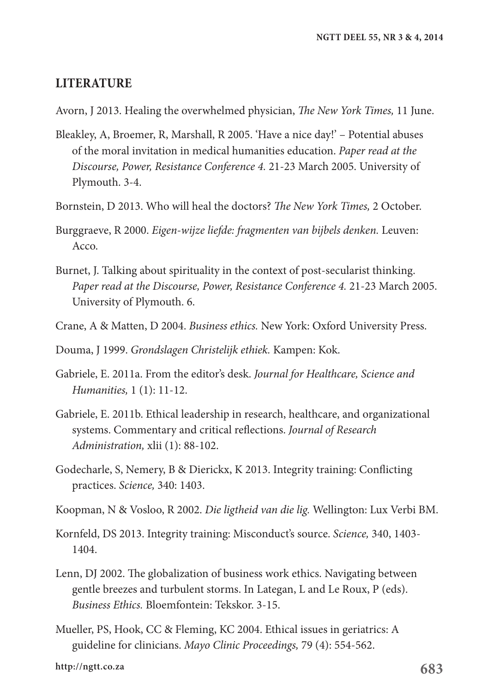#### **LITERATURE**

Avorn, J 2013. Healing the overwhelmed physician, *The New York Times,* 11 June.

- Bleakley, A, Broemer, R, Marshall, R 2005. 'Have a nice day!' Potential abuses of the moral invitation in medical humanities education. *Paper read at the Discourse, Power, Resistance Conference 4.* 21-23 March 2005. University of Plymouth. 3-4.
- Bornstein, D 2013. Who will heal the doctors? *The New York Times,* 2 October.
- Burggraeve, R 2000. *Eigen-wijze liefde: fragmenten van bijbels denken.* Leuven: Acco.
- Burnet, J. Talking about spirituality in the context of post-secularist thinking. *Paper read at the Discourse, Power, Resistance Conference 4.* 21-23 March 2005. University of Plymouth. 6.
- Crane, A & Matten, D 2004. *Business ethics.* New York: Oxford University Press.
- Douma, J 1999. *Grondslagen Christelijk ethiek.* Kampen: Kok.
- Gabriele, E. 2011a. From the editor's desk. *Journal for Healthcare, Science and Humanities,* 1 (1): 11-12.
- Gabriele, E. 2011b. Ethical leadership in research, healthcare, and organizational systems. Commentary and critical reflections. *Journal of Research Administration,* xlii (1): 88-102.
- Godecharle, S, Nemery, B & Dierickx, K 2013. Integrity training: Conflicting practices. *Science,* 340: 1403.
- Koopman, N & Vosloo, R 2002. *Die ligtheid van die lig.* Wellington: Lux Verbi BM.
- Kornfeld, DS 2013. Integrity training: Misconduct's source. *Science,* 340, 1403- 1404.
- Lenn, DJ 2002. The globalization of business work ethics. Navigating between gentle breezes and turbulent storms. In Lategan, L and Le Roux, P (eds). *Business Ethics.* Bloemfontein: Tekskor. 3-15.
- Mueller, PS, Hook, CC & Fleming, KC 2004. Ethical issues in geriatrics: A guideline for clinicians. *Mayo Clinic Proceedings,* 79 (4): 554-562.